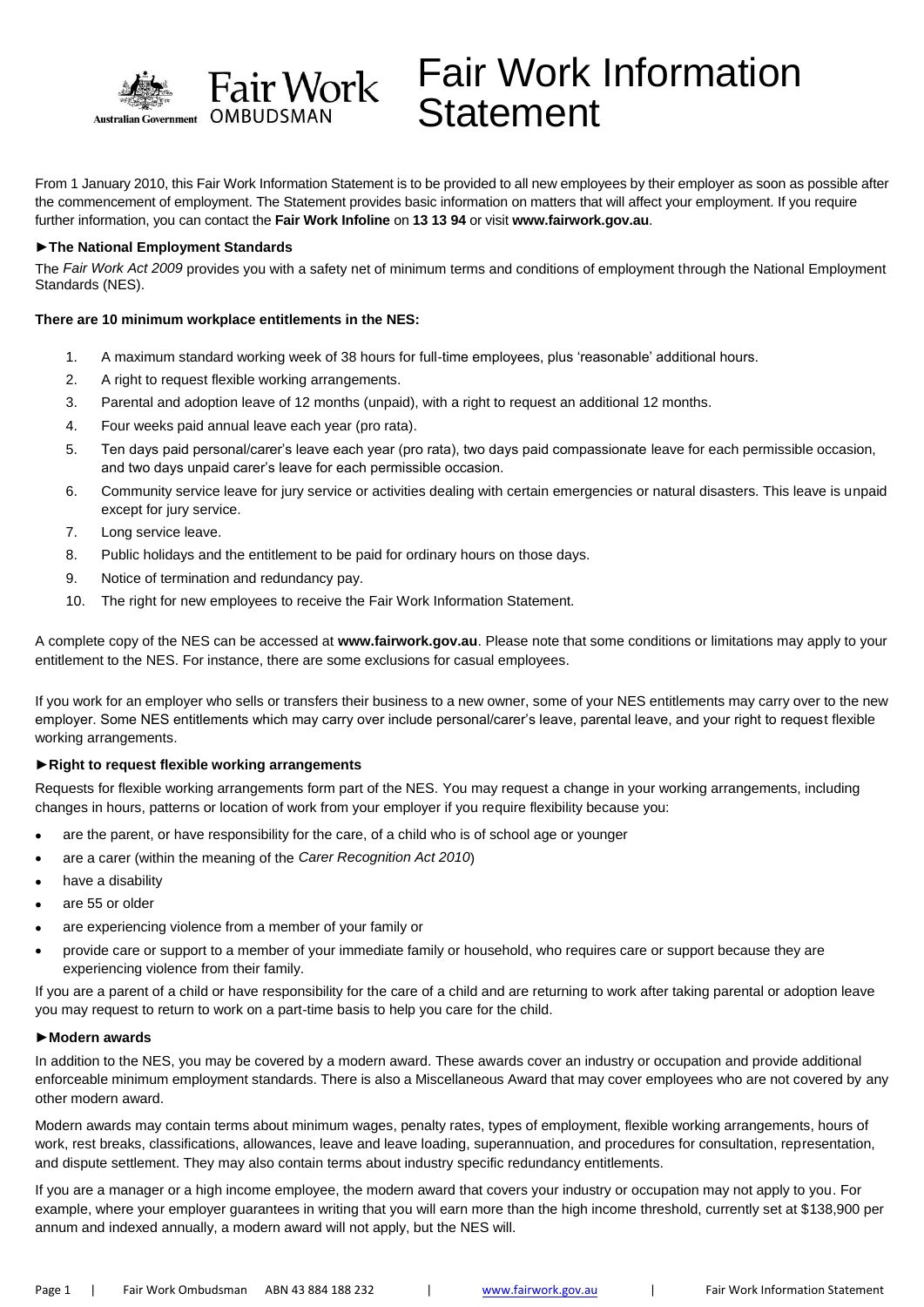

# Fair Work Information **Statement**

From 1 January 2010, this Fair Work Information Statement is to be provided to all new employees by their employer as soon as possible after the commencement of employment. The Statement provides basic information on matters that will affect your employment. If you require further information, you can contact the **Fair Work Infoline** on **13 13 94** or visit **www.fairwork.gov.au**.

## **►The National Employment Standards**

The *Fair Work Act 2009* provides you with a safety net of minimum terms and conditions of employment through the National Employment Standards (NES).

## **There are 10 minimum workplace entitlements in the NES:**

- 1. A maximum standard working week of 38 hours for full-time employees, plus 'reasonable' additional hours.
- 2. A right to request flexible working arrangements.
- 3. Parental and adoption leave of 12 months (unpaid), with a right to request an additional 12 months.
- 4. Four weeks paid annual leave each year (pro rata).
- 5. Ten days paid personal/carer's leave each year (pro rata), two days paid compassionate leave for each permissible occasion, and two days unpaid carer's leave for each permissible occasion.
- 6. Community service leave for jury service or activities dealing with certain emergencies or natural disasters. This leave is unpaid except for jury service.
- 7. Long service leave.
- 8. Public holidays and the entitlement to be paid for ordinary hours on those days.
- 9. Notice of termination and redundancy pay.
- 10. The right for new employees to receive the Fair Work Information Statement.

A complete copy of the NES can be accessed at **www.fairwork.gov.au**. Please note that some conditions or limitations may apply to your entitlement to the NES. For instance, there are some exclusions for casual employees.

If you work for an employer who sells or transfers their business to a new owner, some of your NES entitlements may carry over to the new employer. Some NES entitlements which may carry over include personal/carer's leave, parental leave, and your right to request flexible working arrangements.

#### **►Right to request flexible working arrangements**

Requests for flexible working arrangements form part of the NES. You may request a change in your working arrangements, including changes in hours, patterns or location of work from your employer if you require flexibility because you:

- are the parent, or have responsibility for the care, of a child who is of school age or younger
- are a carer (within the meaning of the *Carer Recognition Act 2010*)
- have a disability
- are 55 or older
- are experiencing violence from a member of your family or
- provide care or support to a member of your immediate family or household, who requires care or support because they are experiencing violence from their family.

If you are a parent of a child or have responsibility for the care of a child and are returning to work after taking parental or adoption leave you may request to return to work on a part-time basis to help you care for the child.

#### **►Modern awards**

In addition to the NES, you may be covered by a modern award. These awards cover an industry or occupation and provide additional enforceable minimum employment standards. There is also a Miscellaneous Award that may cover employees who are not covered by any other modern award.

Modern awards may contain terms about minimum wages, penalty rates, types of employment, flexible working arrangements, hours of work, rest breaks, classifications, allowances, leave and leave loading, superannuation, and procedures for consultation, representation, and dispute settlement. They may also contain terms about industry specific redundancy entitlements.

If you are a manager or a high income employee, the modern award that covers your industry or occupation may not apply to you. For example, where your employer guarantees in writing that you will earn more than the high income threshold, currently set at \$138,900 per annum and indexed annually, a modern award will not apply, but the NES will.